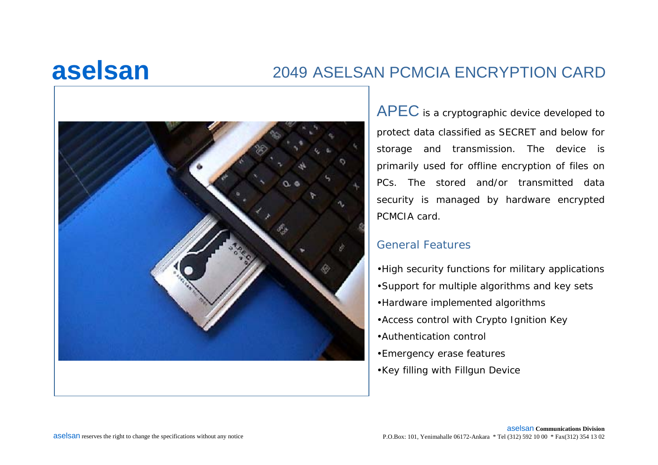## **aselsan**

### 2049 ASELSAN PCMCIA ENCRYPTION CARD



 $\mathsf{APEC}$  is a cryptographic device developed to protect data classified as SECRET and below for storage and transmission. The device is primarily used for offline encryption of files on PCs. The stored and/or transmitted data security is managed by hardware encrypted PCMCIA card.

#### General Features

- •High security functions for military applications
- •Support for multiple algorithms and key sets
- •Hardware implemented algorithms
- •Access control with Crypto Ignition Key
- •Authentication control
- •Emergency erase features
- •Key filling with Fillgun Device